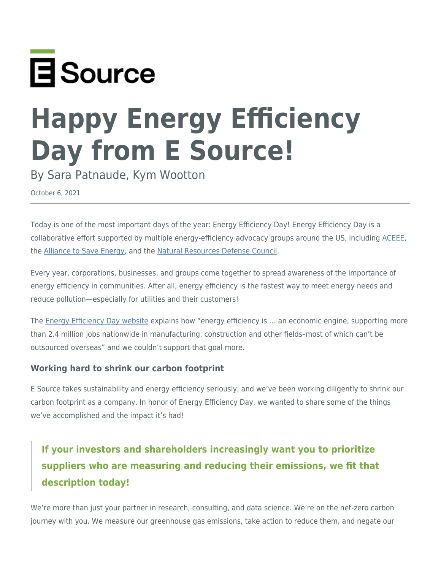

# **Happy Energy Efficiency Day from E Source!**

By Sara Patnaude, Kym Wootton

October 6, 2021

Today is one of the most important days of the year: Energy Efficiency Day! Energy Efficiency Day is a collaborative effort supported by multiple energy-efficiency advocacy groups around the US, including [ACEEE,](http://www.aceee.org/) the [Alliance to Save Energy](https://www.ase.org/), and the [Natural Resources Defense Council.](http://www.nrdc.org/)

Every year, corporations, businesses, and groups come together to spread awareness of the importance of energy efficiency in communities. After all, energy efficiency is the fastest way to meet energy needs and reduce pollution—especially for utilities and their customers!

The [Energy Efficiency Day website](https://energyefficiencyday.org/) explains how "energy efficiency is ... an economic engine, supporting more than 2.4 million jobs nationwide in manufacturing, construction and other fields–most of which can't be outsourced overseas" and we couldn't support that goal more.

#### **Working hard to shrink our carbon footprint**

E Source takes sustainability and energy efficiency seriously, and we've been working diligently to shrink our carbon footprint as a company. In honor of Energy Efficiency Day, we wanted to share some of the things we've accomplished and the impact it's had!

## **If your investors and shareholders increasingly want you to prioritize suppliers who are measuring and reducing their emissions, we fit that description today!**

We're more than just your partner in research, consulting, and data science. We're on the net-zero carbon journey with you. We measure our greenhouse gas emissions, take action to reduce them, and negate our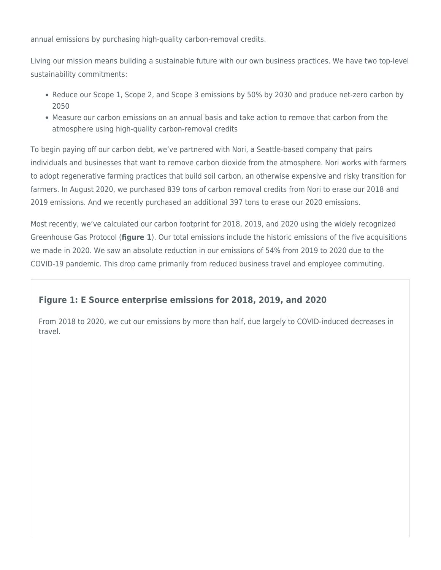annual emissions by purchasing high-quality carbon-removal credits.

Living our mission means building a sustainable future with our own business practices. We have two top-level sustainability commitments:

- Reduce our Scope 1, Scope 2, and Scope 3 emissions by 50% by 2030 and produce net-zero carbon by 2050
- Measure our carbon emissions on an annual basis and take action to remove that carbon from the atmosphere using high-quality carbon-removal credits

To begin paying off our carbon debt, we've partnered with Nori, a Seattle-based company that pairs individuals and businesses that want to remove carbon dioxide from the atmosphere. Nori works with farmers to adopt regenerative farming practices that build soil carbon, an otherwise expensive and risky transition for farmers. In August 2020, we purchased 839 tons of carbon removal credits from Nori to erase our 2018 and 2019 emissions. And we recently purchased an additional 397 tons to erase our 2020 emissions.

Most recently, we've calculated our carbon footprint for 2018, 2019, and 2020 using the widely recognized Greenhouse Gas Protocol (**figure 1**). Our total emissions include the historic emissions of the five acquisitions we made in 2020. We saw an absolute reduction in our emissions of 54% from 2019 to 2020 due to the COVID-19 pandemic. This drop came primarily from reduced business travel and employee commuting.

## **Figure 1: E Source enterprise emissions for 2018, 2019, and 2020**

From 2018 to 2020, we cut our emissions by more than half, due largely to COVID-induced decreases in travel.